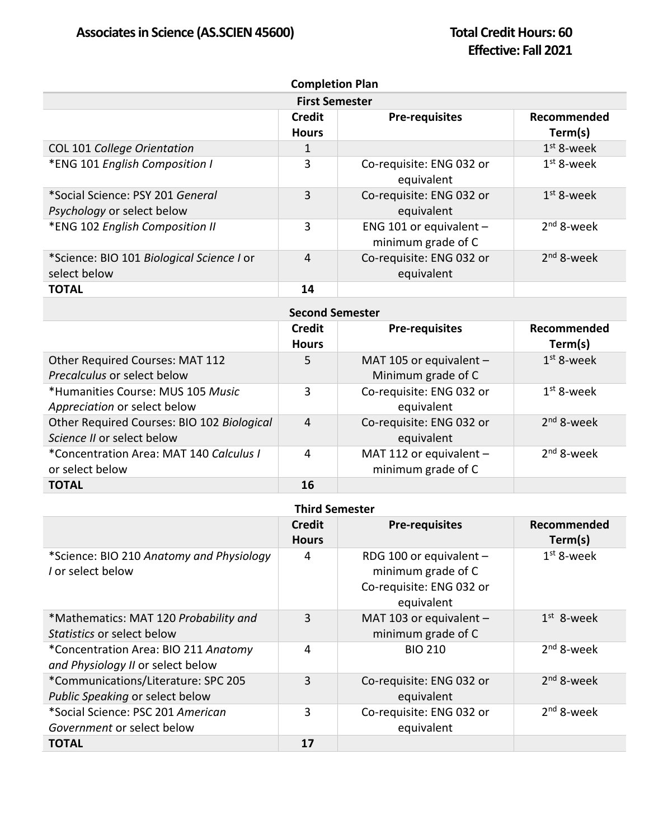| <b>Completion Plan</b>                                                |                               |                                                 |                        |
|-----------------------------------------------------------------------|-------------------------------|-------------------------------------------------|------------------------|
| <b>First Semester</b>                                                 |                               |                                                 |                        |
|                                                                       | <b>Credit</b><br><b>Hours</b> | <b>Pre-requisites</b>                           | Recommended<br>Term(s) |
| COL 101 College Orientation                                           | $\mathbf{1}$                  |                                                 | $1st$ 8-week           |
| *ENG 101 English Composition I                                        | 3                             | Co-requisite: ENG 032 or<br>equivalent          | $1st$ 8-week           |
| *Social Science: PSY 201 General<br><i>Psychology</i> or select below | 3                             | Co-requisite: ENG 032 or<br>equivalent          | $1st$ 8-week           |
| *ENG 102 English Composition II                                       | 3                             | ENG 101 or equivalent $-$<br>minimum grade of C | $2nd$ 8-week           |
| *Science: BIO 101 Biological Science I or<br>select below             | 4                             | Co-requisite: ENG 032 or<br>equivalent          | $2nd$ 8-week           |
| <b>TOTAL</b>                                                          | 14                            |                                                 |                        |
| <b>Second Semester</b>                                                |                               |                                                 |                        |
|                                                                       | Credit<br><b>Hours</b>        | <b>Pre-requisites</b>                           | Recommended<br>Term(s) |

|                                                                          | <b>Hours</b>   |                                                 | Term(s)      |
|--------------------------------------------------------------------------|----------------|-------------------------------------------------|--------------|
| Other Required Courses: MAT 112<br>Precalculus or select below           | 5              | MAT 105 or equivalent -<br>Minimum grade of C   | $1st$ 8-week |
| *Humanities Course: MUS 105 Music<br>Appreciation or select below        | 3              | Co-requisite: ENG 032 or<br>equivalent          | $1st$ 8-week |
| Other Required Courses: BIO 102 Biological<br>Science II or select below | $\overline{4}$ | Co-requisite: ENG 032 or<br>equivalent          | $2nd$ 8-week |
| *Concentration Area: MAT 140 Calculus I<br>or select below               | 4              | MAT 112 or equivalent $-$<br>minimum grade of C | $2nd$ 8-week |
| <b>TOTAL</b>                                                             | 16             |                                                 |              |

| <b>Third Semester</b>                                                     |                               |                                                                                         |                        |
|---------------------------------------------------------------------------|-------------------------------|-----------------------------------------------------------------------------------------|------------------------|
|                                                                           | <b>Credit</b><br><b>Hours</b> | <b>Pre-requisites</b>                                                                   | Recommended<br>Term(s) |
| *Science: BIO 210 Anatomy and Physiology<br>I or select below             | 4                             | RDG 100 or equivalent -<br>minimum grade of C<br>Co-requisite: ENG 032 or<br>equivalent | $1st$ 8-week           |
| *Mathematics: MAT 120 Probability and<br>Statistics or select below       | 3                             | MAT 103 or equivalent $-$<br>minimum grade of C                                         | $1st$ 8-week           |
| *Concentration Area: BIO 211 Anatomy<br>and Physiology II or select below | 4                             | <b>BIO 210</b>                                                                          | $2nd$ 8-week           |
| *Communications/Literature: SPC 205<br>Public Speaking or select below    | 3                             | Co-requisite: ENG 032 or<br>equivalent                                                  | $2nd$ 8-week           |
| *Social Science: PSC 201 American<br>Government or select below           | 3                             | Co-requisite: ENG 032 or<br>equivalent                                                  | $2nd$ 8-week           |
| <b>TOTAL</b>                                                              | 17                            |                                                                                         |                        |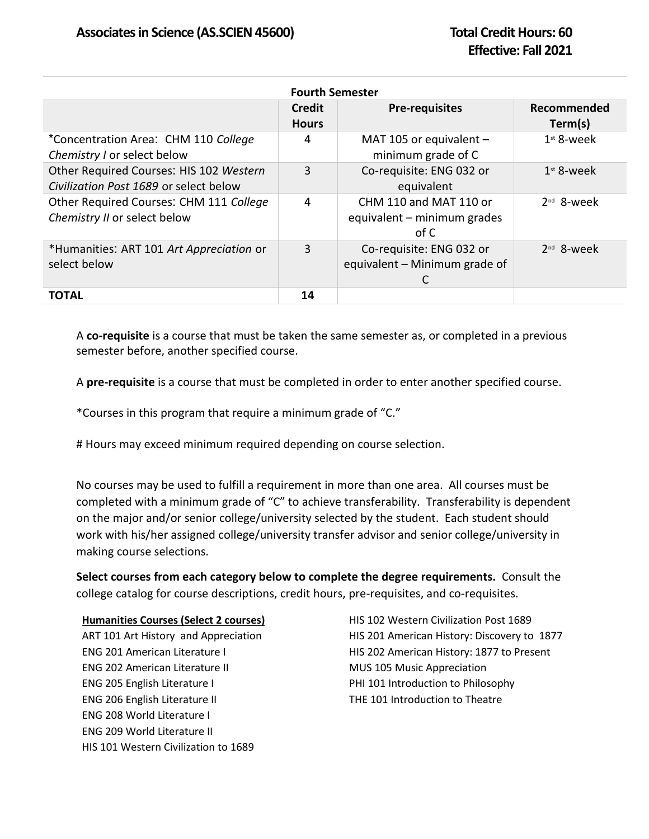| <b>Fourth Semester</b>                                                            |                               |                                                                |                        |
|-----------------------------------------------------------------------------------|-------------------------------|----------------------------------------------------------------|------------------------|
|                                                                                   | <b>Credit</b><br><b>Hours</b> | <b>Pre-requisites</b>                                          | Recommended<br>Term(s) |
| *Concentration Area: CHM 110 College<br>Chemistry I or select below               | 4                             | MAT 105 or equivalent $-$<br>minimum grade of C                | $1st$ 8-week           |
| Other Required Courses: HIS 102 Western<br>Civilization Post 1689 or select below | 3                             | Co-requisite: ENG 032 or<br>equivalent                         | $1st$ 8-week           |
| Other Required Courses: CHM 111 College<br>Chemistry II or select below           | 4                             | CHM 110 and MAT 110 or<br>equivalent – minimum grades<br>of C  | $2nd$ 8-week           |
| *Humanities: ART 101 Art Appreciation or<br>select below                          | 3                             | Co-requisite: ENG 032 or<br>equivalent - Minimum grade of<br>C | $2nd$ 8-week           |
| TOTAL                                                                             | 14                            |                                                                |                        |

A **co-requisite** is a course that must be taken the same semester as, or completed in a previous semester before, another specified course.

A **pre-requisite** is a course that must be completed in order to enter another specified course.

\*Courses in this program that require a minimum grade of "C."

# Hours may exceed minimum required depending on course selection.

No courses may be used to fulfill a requirement in more than one area. All courses must be completed with a minimum grade of "C" to achieve transferability. Transferability is dependent on the major and/or senior college/university selected by the student. Each student should work with his/her assigned college/university transfer advisor and senior college/university in making course selections.

**Select courses from each category below to complete the degree requirements.** Consult the college catalog for course descriptions, credit hours, pre-requisites, and co-requisites.

## **Humanities Courses (Select 2 courses)**

ART 101 Art History and Appreciation ENG 201 American Literature I ENG 202 American Literature II ENG 205 English Literature I ENG 206 English Literature II ENG 208 World Literature I ENG 209 World Literature II HIS 101 Western Civilization to 1689

HIS 102 Western Civilization Post 1689 HIS 201 American History: Discovery to 1877 HIS 202 American History: 1877 to Present MUS 105 Music Appreciation PHI 101 Introduction to Philosophy THE 101 Introduction to Theatre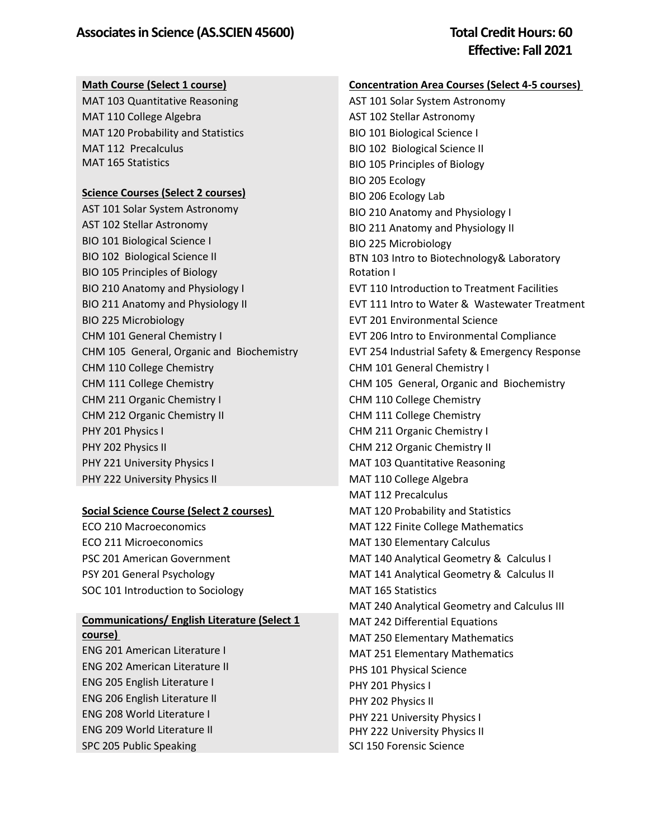#### **Math Course (Select 1 course)**

MAT 103 Quantitative Reasoning MAT 110 College Algebra MAT 120 Probability and Statistics MAT 112 Precalculus MAT 165 Statistics

#### **Science Courses (Select 2 courses)**

AST 101 Solar System Astronomy AST 102 Stellar Astronomy BIO 101 Biological Science I BIO 102 Biological Science II BIO 105 Principles of Biology BIO 210 Anatomy and Physiology I BIO 211 Anatomy and Physiology II BIO 225 Microbiology CHM 101 General Chemistry I CHM 105 General, Organic and Biochemistry CHM 110 College Chemistry CHM 111 College Chemistry CHM 211 Organic Chemistry I CHM 212 Organic Chemistry II PHY 201 Physics I PHY 202 Physics II PHY 221 University Physics I PHY 222 University Physics II

## **Social Science Course (Select 2 courses)**

ECO 210 Macroeconomics ECO 211 Microeconomics PSC 201 American Government PSY 201 General Psychology SOC 101 Introduction to Sociology

# **Communications/ English Literature (Select 1 course)**

ENG 201 American Literature I ENG 202 American Literature II ENG 205 English Literature I ENG 206 English Literature II ENG 208 World Literature I ENG 209 World Literature II SPC 205 Public Speaking

# **Concentration Area Courses (Select 4-5 courses)**

AST 101 Solar System Astronomy AST 102 Stellar Astronomy BIO 101 Biological Science I BIO 102 Biological Science II BIO 105 Principles of Biology BIO 205 Ecology BIO 206 Ecology Lab BIO 210 Anatomy and Physiology I BIO 211 Anatomy and Physiology II BIO 225 Microbiology BTN 103 Intro to Biotechnology& Laboratory Rotation I EVT 110 Introduction to Treatment Facilities EVT 111 Intro to Water & Wastewater Treatment EVT 201 Environmental Science EVT 206 Intro to Environmental Compliance EVT 254 Industrial Safety & Emergency Response CHM 101 General Chemistry I CHM 105 General, Organic and Biochemistry CHM 110 College Chemistry CHM 111 College Chemistry CHM 211 Organic Chemistry I CHM 212 Organic Chemistry II MAT 103 Quantitative Reasoning MAT 110 College Algebra MAT 112 Precalculus MAT 120 Probability and Statistics MAT 122 Finite College Mathematics MAT 130 Elementary Calculus MAT 140 Analytical Geometry & Calculus I MAT 141 Analytical Geometry & Calculus II MAT 165 Statistics MAT 240 Analytical Geometry and Calculus III MAT 242 Differential Equations MAT 250 Elementary Mathematics MAT 251 Elementary Mathematics PHS 101 Physical Science PHY 201 Physics I PHY 202 Physics II PHY 221 University Physics I PHY 222 University Physics II SCI 150 Forensic Science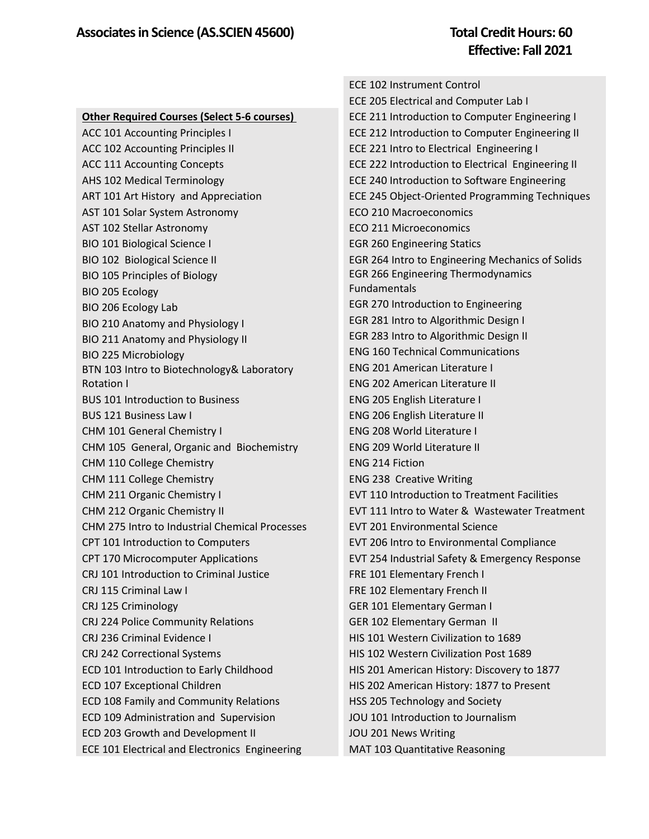|                                                    | <b>ECE 102 Instrument Control</b>                   |
|----------------------------------------------------|-----------------------------------------------------|
|                                                    | ECE 205 Electrical and Computer Lab I               |
| <b>Other Required Courses (Select 5-6 courses)</b> | ECE 211 Introduction to Computer Engineering I      |
| ACC 101 Accounting Principles I                    | ECE 212 Introduction to Computer Engineering II     |
| ACC 102 Accounting Principles II                   | ECE 221 Intro to Electrical Engineering I           |
| <b>ACC 111 Accounting Concepts</b>                 | ECE 222 Introduction to Electrical Engineering II   |
| AHS 102 Medical Terminology                        | ECE 240 Introduction to Software Engineering        |
| ART 101 Art History and Appreciation               | ECE 245 Object-Oriented Programming Techniques      |
| AST 101 Solar System Astronomy                     | <b>ECO 210 Macroeconomics</b>                       |
| AST 102 Stellar Astronomy                          | <b>ECO 211 Microeconomics</b>                       |
| <b>BIO 101 Biological Science I</b>                | <b>EGR 260 Engineering Statics</b>                  |
| BIO 102 Biological Science II                      | EGR 264 Intro to Engineering Mechanics of Solids    |
| BIO 105 Principles of Biology                      | <b>EGR 266 Engineering Thermodynamics</b>           |
| BIO 205 Ecology                                    | Fundamentals                                        |
| BIO 206 Ecology Lab                                | EGR 270 Introduction to Engineering                 |
| BIO 210 Anatomy and Physiology I                   | EGR 281 Intro to Algorithmic Design I               |
| BIO 211 Anatomy and Physiology II                  | EGR 283 Intro to Algorithmic Design II              |
| BIO 225 Microbiology                               | <b>ENG 160 Technical Communications</b>             |
| BTN 103 Intro to Biotechnology& Laboratory         | <b>ENG 201 American Literature I</b>                |
| Rotation I                                         | <b>ENG 202 American Literature II</b>               |
| <b>BUS 101 Introduction to Business</b>            | ENG 205 English Literature I                        |
| <b>BUS 121 Business Law I</b>                      | ENG 206 English Literature II                       |
| CHM 101 General Chemistry I                        | <b>ENG 208 World Literature I</b>                   |
| CHM 105 General, Organic and Biochemistry          | <b>ENG 209 World Literature II</b>                  |
| CHM 110 College Chemistry                          | <b>ENG 214 Fiction</b>                              |
| CHM 111 College Chemistry                          | <b>ENG 238 Creative Writing</b>                     |
| CHM 211 Organic Chemistry I                        | <b>EVT 110 Introduction to Treatment Facilities</b> |
| CHM 212 Organic Chemistry II                       | EVT 111 Intro to Water & Wastewater Treatment       |
| CHM 275 Intro to Industrial Chemical Processes     | <b>EVT 201 Environmental Science</b>                |
| CPT 101 Introduction to Computers                  | EVT 206 Intro to Environmental Compliance           |
| CPT 170 Microcomputer Applications                 | EVT 254 Industrial Safety & Emergency Response      |
| CRJ 101 Introduction to Criminal Justice           | FRE 101 Elementary French I                         |
| CRJ 115 Criminal Law I                             | FRE 102 Elementary French II                        |
| CRJ 125 Criminology                                | <b>GER 101 Elementary German I</b>                  |
| CRJ 224 Police Community Relations                 | GER 102 Elementary German II                        |
| CRJ 236 Criminal Evidence I                        | HIS 101 Western Civilization to 1689                |
| CRJ 242 Correctional Systems                       | HIS 102 Western Civilization Post 1689              |
| ECD 101 Introduction to Early Childhood            | HIS 201 American History: Discovery to 1877         |
| ECD 107 Exceptional Children                       | HIS 202 American History: 1877 to Present           |
| ECD 108 Family and Community Relations             | HSS 205 Technology and Society                      |
| ECD 109 Administration and Supervision             | JOU 101 Introduction to Journalism                  |
| ECD 203 Growth and Development II                  | JOU 201 News Writing                                |
| ECE 101 Electrical and Electronics Engineering     | MAT 103 Quantitative Reasoning                      |